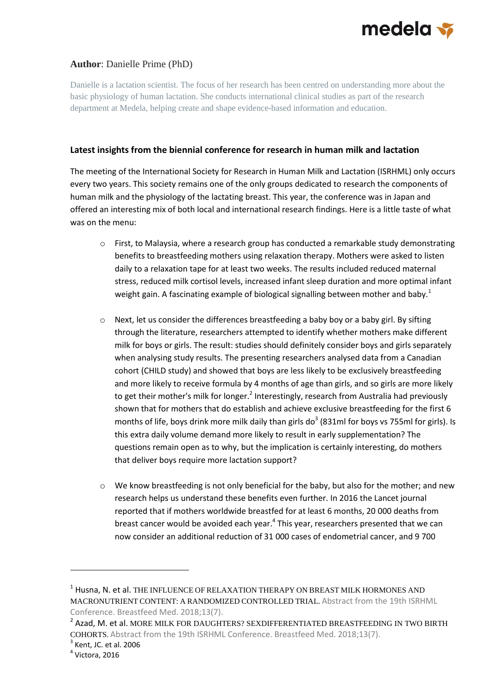

## **Author**: Danielle Prime (PhD)

Danielle is a lactation scientist. The focus of her research has been centred on understanding more about the basic physiology of human lactation. She conducts international clinical studies as part of the research department at Medela, helping create and shape evidence-based information and education.

## **Latest insights from the biennial conference for research in human milk and lactation**

The meeting of the International Society for Research in Human Milk and Lactation (ISRHML) only occurs every two years. This society remains one of the only groups dedicated to research the components of human milk and the physiology of the lactating breast. This year, the conference was in Japan and offered an interesting mix of both local and international research findings. Here is a little taste of what was on the menu:

- o First, to Malaysia, where a research group has conducted a remarkable study demonstrating benefits to breastfeeding mothers using relaxation therapy. Mothers were asked to listen daily to a relaxation tape for at least two weeks. The results included reduced maternal stress, reduced milk cortisol levels, increased infant sleep duration and more optimal infant weight gain. A fascinating example of biological signalling between mother and baby.<sup>1</sup>
- $\circ$  Next, let us consider the differences breastfeeding a baby boy or a baby girl. By sifting through the literature, researchers attempted to identify whether mothers make different milk for boys or girls. The result: studies should definitely consider boys and girls separately when analysing study results. The presenting researchers analysed data from a Canadian cohort (CHILD study) and showed that boys are less likely to be exclusively breastfeeding and more likely to receive formula by 4 months of age than girls, and so girls are more likely to get their mother's milk for longer.<sup>2</sup> Interestingly, research from Australia had previously shown that for mothers that do establish and achieve exclusive breastfeeding for the first 6 months of life, boys drink more milk daily than girls do<sup>3</sup> (831ml for boys vs 755ml for girls). Is this extra daily volume demand more likely to result in early supplementation? The questions remain open as to why, but the implication is certainly interesting, do mothers that deliver boys require more lactation support?
- $\circ$  We know breastfeeding is not only beneficial for the baby, but also for the mother; and new research helps us understand these benefits even further. In 2016 the Lancet journal reported that if mothers worldwide breastfed for at least 6 months, 20 000 deaths from breast cancer would be avoided each year.<sup>4</sup> This year, researchers presented that we can now consider an additional reduction of 31 000 cases of endometrial cancer, and 9 700

1

<sup>1</sup> Husna, N. et al. THE INFLUENCE OF RELAXATION THERAPY ON BREAST MILK HORMONES AND MACRONUTRIENT CONTENT: A RANDOMIZED CONTROLLED TRIAL. Abstract from the 19th ISRHML Conference. Breastfeed Med. 2018;13(7).

 $^2$  Azad, M. et al. MORE MILK FOR DAUGHTERS? SEXDIFFERENTIATED BREASTFEEDING IN TWO BIRTH COHORTS. Abstract from the 19th ISRHML Conference. Breastfeed Med. 2018;13(7).

 $3$  Kent, JC. et al. 2006

<sup>4</sup> Victora, 2016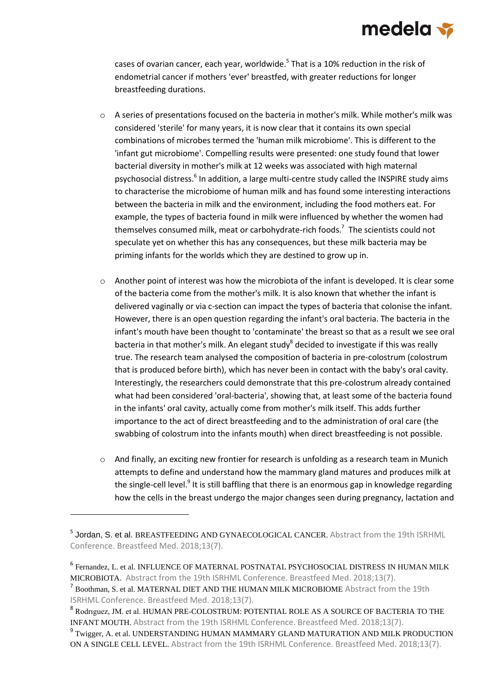

cases of ovarian cancer, each year, worldwide.<sup>5</sup> That is a 10% reduction in the risk of endometrial cancer if mothers 'ever' breastfed, with greater reductions for longer breastfeeding durations.

- o A series of presentations focused on the bacteria in mother's milk. While mother's milk was considered 'sterile' for many years, it is now clear that it contains its own special combinations of microbes termed the 'human milk microbiome'. This is different to the 'infant gut microbiome'. Compelling results were presented: one study found that lower bacterial diversity in mother's milk at 12 weeks was associated with high maternal psychosocial distress.<sup>6</sup> In addition, a large multi-centre study called the INSPIRE study aims to characterise the microbiome of human milk and has found some interesting interactions between the bacteria in milk and the environment, including the food mothers eat. For example, the types of bacteria found in milk were influenced by whether the women had themselves consumed milk, meat or carbohydrate-rich foods.<sup>7</sup> The scientists could not speculate yet on whether this has any consequences, but these milk bacteria may be priming infants for the worlds which they are destined to grow up in.
- o Another point of interest was how the microbiota of the infant is developed. It is clear some of the bacteria come from the mother's milk. It is also known that whether the infant is delivered vaginally or via c-section can impact the types of bacteria that colonise the infant. However, there is an open question regarding the infant's oral bacteria. The bacteria in the infant's mouth have been thought to 'contaminate' the breast so that as a result we see oral bacteria in that mother's milk. An elegant study<sup>8</sup> decided to investigate if this was really true. The research team analysed the composition of bacteria in pre-colostrum (colostrum that is produced before birth), which has never been in contact with the baby's oral cavity. Interestingly, the researchers could demonstrate that this pre-colostrum already contained what had been considered 'oral-bacteria', showing that, at least some of the bacteria found in the infants' oral cavity, actually come from mother's milk itself. This adds further importance to the act of direct breastfeeding and to the administration of oral care (the swabbing of colostrum into the infants mouth) when direct breastfeeding is not possible.
- $\circ$  And finally, an exciting new frontier for research is unfolding as a research team in Munich attempts to define and understand how the mammary gland matures and produces milk at the single-cell level.<sup>9</sup> It is still baffling that there is an enormous gap in knowledge regarding how the cells in the breast undergo the major changes seen during pregnancy, lactation and

-

<sup>&</sup>lt;sup>5</sup> Jordan, S. et al. BREASTFEEDING AND GYNAECOLOGICAL CANCER. Abstract from the 19th ISRHML Conference. Breastfeed Med. 2018;13(7).

<sup>6</sup> Fernandez, L. et al. INFLUENCE OF MATERNAL POSTNATAL PSYCHOSOCIAL DISTRESS IN HUMAN MILK MICROBIOTA. Abstract from the 19th ISRHML Conference. Breastfeed Med. 2018;13(7).

<sup>&</sup>lt;sup>7</sup> Boothman, S. et al. MATERNAL DIET AND THE HUMAN MILK MICROBIOME Abstract from the 19th ISRHML Conference. Breastfeed Med. 2018;13(7).

<sup>8</sup> Rodrıguez, JM. et al. HUMAN PRE-COLOSTRUM: POTENTIAL ROLE AS A SOURCE OF BACTERIA TO THE INFANT MOUTH. Abstract from the 19th ISRHML Conference. Breastfeed Med. 2018;13(7).

<sup>&</sup>lt;sup>9</sup> Twigger, A. et al. UNDERSTANDING HUMAN MAMMARY GLAND MATURATION AND MILK PRODUCTION ON A SINGLE CELL LEVEL. Abstract from the 19th ISRHML Conference. Breastfeed Med. 2018;13(7).